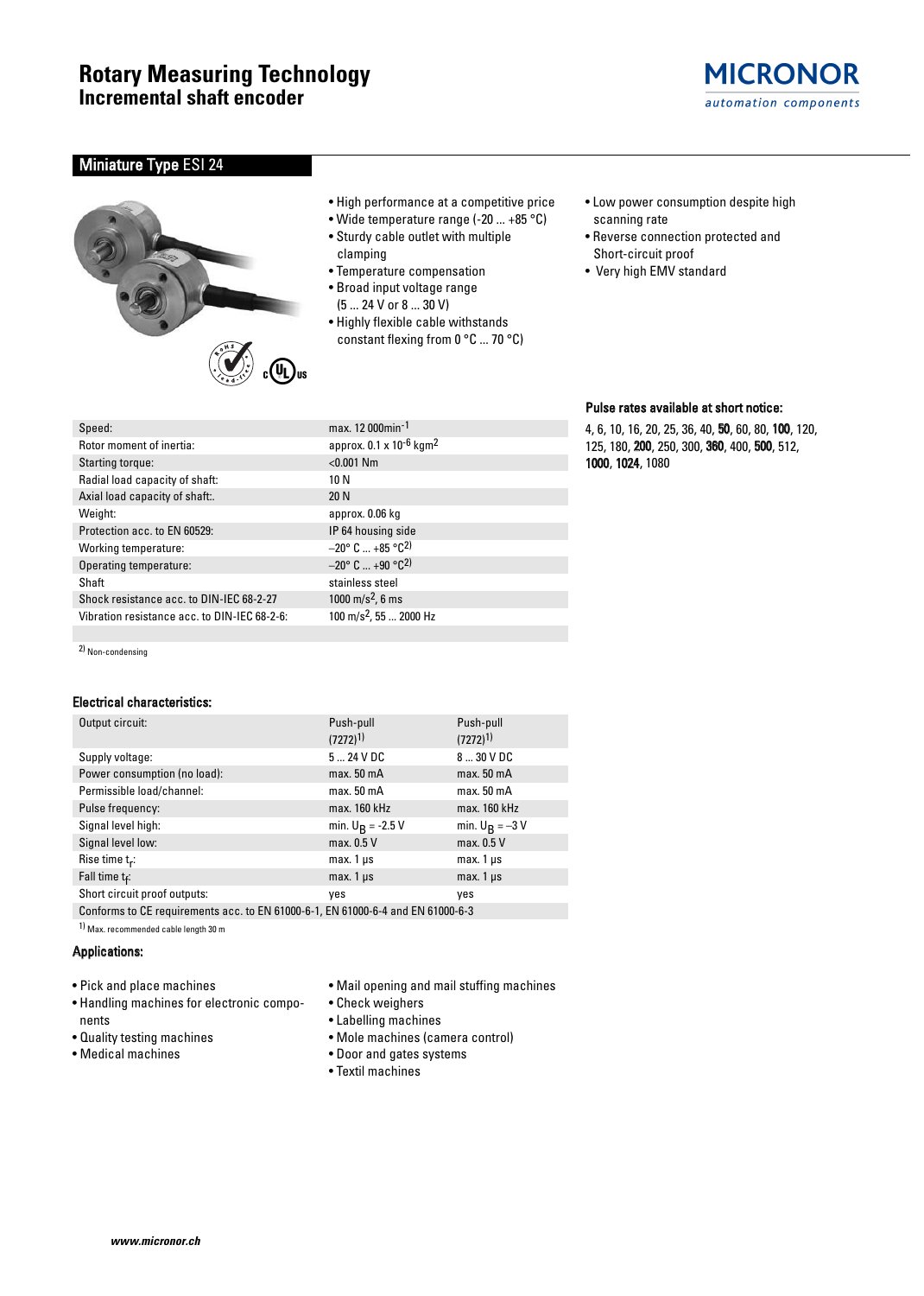# Miniature Type ESI 24



- High performance at a competitive price
- Wide temperature range (-20 ... +85 °C)
- Sturdy cable outlet with multiple clamping
- Temperature compensation
- Broad input voltage range
	- (5 ... 24 V or 8 ... 30 V)
- Highly flexible cable withstands constant flexing from 0 °C ... 70 °C)
- Low power consumption despite high scanning rate

**MICRONOR** automation components

- Reverse connection protected and Short-circuit proof
- Very high EMV standard

# Speed: max. 12 000min-1 Rotor moment of inertia: approx. 0.1 x 10<sup>-6</sup> kgm<sup>2</sup> Starting torque:  $< 0.001$  Nm Radial load capacity of shaft: 10 N Axial load capacity of shaft:. 20 N Weight: approx. 0.06 kg Protection acc. to EN 60529: IP 64 housing side Working temperature:  $-20^{\circ}$  C  $...$  +85  $^{\circ}$ C<sup>2)</sup> Operating temperature:  $-20^{\circ}$  C ... +90  $^{\circ}$ C<sup>2)</sup> Shaft stainless steel Shock resistance acc. to DIN-IEC 68-2-27 1000 m/s<sup>2</sup>, 6 ms Vibration resistance acc. to DIN-IEC 68-2-6:  $100 \text{ m/s}^2$ , 55 ... 2000 Hz

2) Non-condensing

# Electrical characteristics:

| Output circuit:                                                                 | Push-pull<br>$(7272)^{1}$ | Push-pull<br>$(7272)^{1}$ |  |  |  |  |
|---------------------------------------------------------------------------------|---------------------------|---------------------------|--|--|--|--|
| Supply voltage:                                                                 | $524$ VDC                 | 8  30 V DC                |  |  |  |  |
| Power consumption (no load):                                                    | max. 50 <sub>m</sub> A    | max. 50 <sub>m</sub> A    |  |  |  |  |
| Permissible load/channel:                                                       | max. 50 <sub>m</sub> A    | max. 50 <sub>m</sub> A    |  |  |  |  |
| Pulse frequency:                                                                | max. 160 kHz              | max. 160 kHz              |  |  |  |  |
| Signal level high:                                                              | min. $U_R = -2.5 V$       | min. $U_R = -3V$          |  |  |  |  |
| Signal level low:                                                               | max. 0.5 V                | max. 0.5 V                |  |  |  |  |
| Rise time $t_r$ :                                                               | $max.1 \,\mu s$           | $max.1 \,\mu s$           |  |  |  |  |
| Fall time $t_f$ :                                                               | $max.1 \,\mu s$           | $max.1 \,\mu s$           |  |  |  |  |
| Short circuit proof outputs:                                                    | yes                       | yes                       |  |  |  |  |
| Conforms to CE requirements acc. to EN 61000-6-1, EN 61000-6-4 and EN 61000-6-3 |                           |                           |  |  |  |  |

1) Max. recommended cable length 30 m

## Applications:

- Pick and place machines
- Handling machines for electronic components
- Quality testing machines
- Medical machines
- Mail opening and mail stuffing machines
- Check weighers
- Labelling machines
- Mole machines (camera control)
- Door and gates systems
- Textil machines

### Pulse rates available at short notice:

4, 6, 10, 16, 20, 25, 36, 40, 50, 60, 80, 100, 120, 125, 180, 200, 250, 300, 360, 400, 500, 512, 1000, 1024, 1080